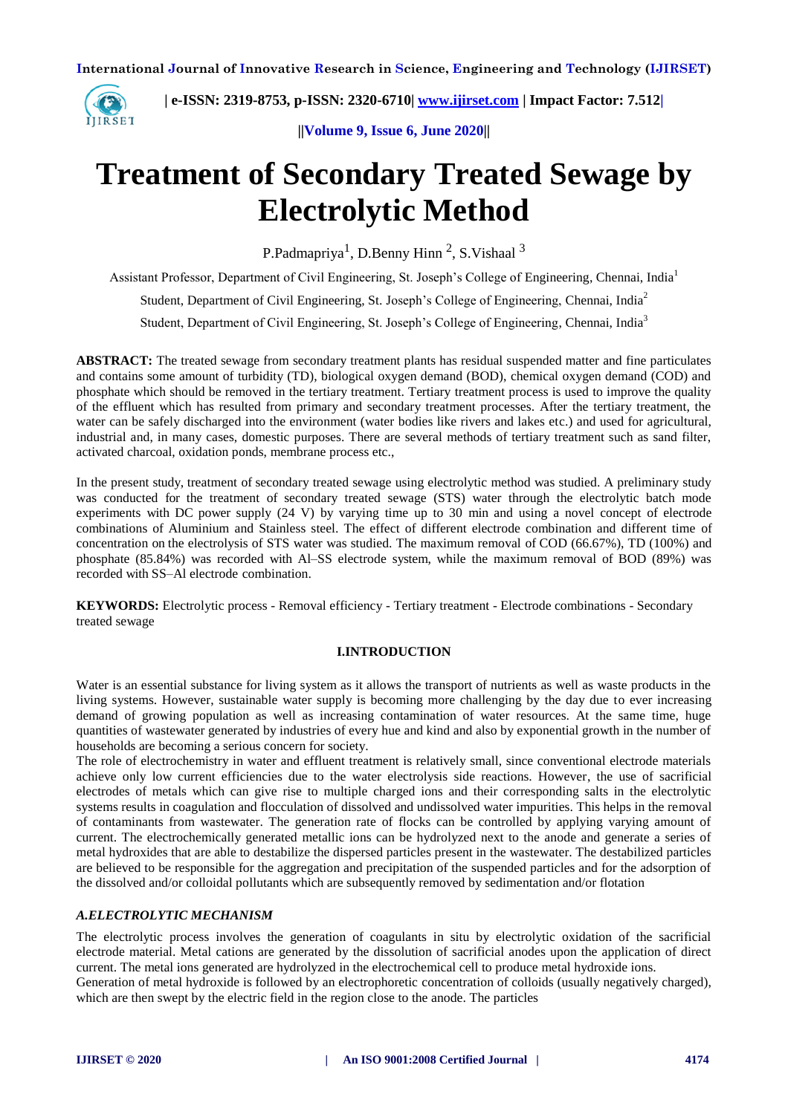

 **| e-ISSN: 2319-8753, p-ISSN: 2320-6710| [www.ijirset.com](http://www.ijirset.com/) | Impact Factor: 7.512|**

**||Volume 9, Issue 6, June 2020||** 

# **Treatment of Secondary Treated Sewage by Electrolytic Method**

P.Padmapriya<sup>1</sup>, D.Benny Hinn<sup>2</sup>, S.Vishaal<sup>3</sup>

Assistant Professor, Department of Civil Engineering, St. Joseph's College of Engineering, Chennai, India<sup>1</sup>

Student, Department of Civil Engineering, St. Joseph's College of Engineering, Chennai, India<sup>2</sup>

Student, Department of Civil Engineering, St. Joseph's College of Engineering, Chennai, India<sup>3</sup>

**ABSTRACT:** The treated sewage from secondary treatment plants has residual suspended matter and fine particulates and contains some amount of turbidity (TD), biological oxygen demand (BOD), chemical oxygen demand (COD) and phosphate which should be removed in the tertiary treatment. Tertiary treatment process is used to improve the quality of the effluent which has resulted from primary and secondary treatment processes. After the tertiary treatment, the water can be safely discharged into the environment (water bodies like rivers and lakes etc.) and used for agricultural, industrial and, in many cases, domestic purposes. There are several methods of tertiary treatment such as sand filter, activated charcoal, oxidation ponds, membrane process etc.,

In the present study, treatment of secondary treated sewage using electrolytic method was studied. A preliminary study was conducted for the treatment of secondary treated sewage (STS) water through the electrolytic batch mode experiments with DC power supply (24 V) by varying time up to 30 min and using a novel concept of electrode combinations of Aluminium and Stainless steel. The effect of different electrode combination and different time of concentration on the electrolysis of STS water was studied. The maximum removal of COD (66.67%), TD (100%) and phosphate (85.84%) was recorded with Al–SS electrode system, while the maximum removal of BOD (89%) was recorded with SS–Al electrode combination.

**KEYWORDS:** Electrolytic process - Removal efficiency - Tertiary treatment - Electrode combinations - Secondary treated sewage

## **I.INTRODUCTION**

Water is an essential substance for living system as it allows the transport of nutrients as well as waste products in the living systems. However, sustainable water supply is becoming more challenging by the day due to ever increasing demand of growing population as well as increasing contamination of water resources. At the same time, huge quantities of wastewater generated by industries of every hue and kind and also by exponential growth in the number of households are becoming a serious concern for society.

The role of electrochemistry in water and effluent treatment is relatively small, since conventional electrode materials achieve only low current efficiencies due to the water electrolysis side reactions. However, the use of sacrificial electrodes of metals which can give rise to multiple charged ions and their corresponding salts in the electrolytic systems results in coagulation and flocculation of dissolved and undissolved water impurities. This helps in the removal of contaminants from wastewater. The generation rate of flocks can be controlled by applying varying amount of current. The electrochemically generated metallic ions can be hydrolyzed next to the anode and generate a series of metal hydroxides that are able to destabilize the dispersed particles present in the wastewater. The destabilized particles are believed to be responsible for the aggregation and precipitation of the suspended particles and for the adsorption of the dissolved and/or colloidal pollutants which are subsequently removed by sedimentation and/or flotation

# *A.ELECTROLYTIC MECHANISM*

The electrolytic process involves the generation of coagulants in situ by electrolytic oxidation of the sacrificial electrode material. Metal cations are generated by the dissolution of sacrificial anodes upon the application of direct current. The metal ions generated are hydrolyzed in the electrochemical cell to produce metal hydroxide ions.

Generation of metal hydroxide is followed by an electrophoretic concentration of colloids (usually negatively charged), which are then swept by the electric field in the region close to the anode. The particles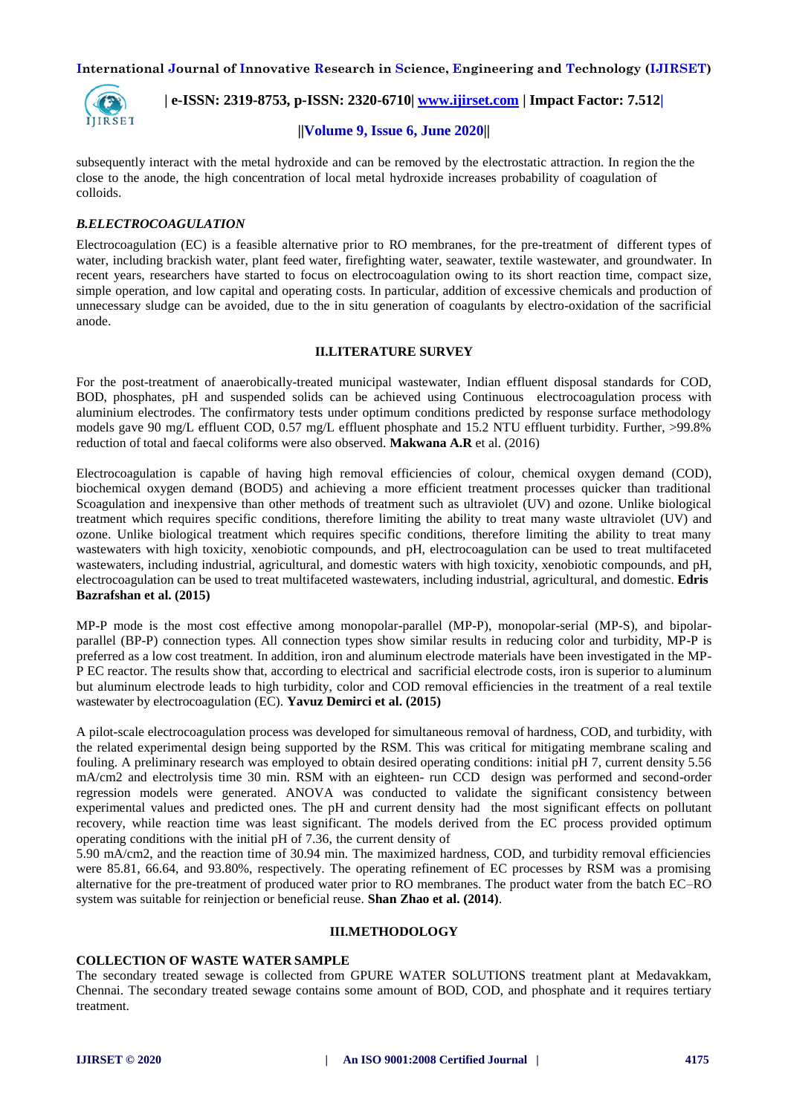

 **| e-ISSN: 2319-8753, p-ISSN: 2320-6710| [www.ijirset.com](http://www.ijirset.com/) | Impact Factor: 7.512|**

## **||Volume 9, Issue 6, June 2020||**

subsequently interact with the metal hydroxide and can be removed by the electrostatic attraction. In region the the close to the anode, the high concentration of local metal hydroxide increases probability of coagulation of colloids.

## *B.ELECTROCOAGULATION*

Electrocoagulation (EC) is a feasible alternative prior to RO membranes, for the pre-treatment of different types of water, including brackish water, plant feed water, firefighting water, seawater, textile wastewater, and groundwater. In recent years, researchers have started to focus on electrocoagulation owing to its short reaction time, compact size, simple operation, and low capital and operating costs. In particular, addition of excessive chemicals and production of unnecessary sludge can be avoided, due to the in situ generation of coagulants by electro-oxidation of the sacrificial anode.

## **II.LITERATURE SURVEY**

For the post-treatment of anaerobically-treated municipal wastewater, Indian effluent disposal standards for COD, BOD, phosphates, pH and suspended solids can be achieved using Continuous electrocoagulation process with aluminium electrodes. The confirmatory tests under optimum conditions predicted by response surface methodology models gave 90 mg/L effluent COD, 0.57 mg/L effluent phosphate and 15.2 NTU effluent turbidity. Further, >99.8% reduction of total and faecal coliforms were also observed. **Makwana A.R** et al. (2016)

Electrocoagulation is capable of having high removal efficiencies of colour, chemical oxygen demand (COD), biochemical oxygen demand (BOD5) and achieving a more efficient treatment processes quicker than traditional Scoagulation and inexpensive than other methods of treatment such as ultraviolet (UV) and ozone. Unlike biological treatment which requires specific conditions, therefore limiting the ability to treat many waste ultraviolet (UV) and ozone. Unlike biological treatment which requires specific conditions, therefore limiting the ability to treat many wastewaters with high toxicity, xenobiotic compounds, and pH, electrocoagulation can be used to treat multifaceted wastewaters, including industrial, agricultural, and domestic waters with high toxicity, xenobiotic compounds, and pH, electrocoagulation can be used to treat multifaceted wastewaters, including industrial, agricultural, and domestic. **Edris Bazrafshan et al. (2015)**

MP-P mode is the most cost effective among monopolar-parallel (MP-P), monopolar-serial (MP-S), and bipolarparallel (BP-P) connection types. All connection types show similar results in reducing color and turbidity, MP-P is preferred as a low cost treatment. In addition, iron and aluminum electrode materials have been investigated in the MP-P EC reactor. The results show that, according to electrical and sacrificial electrode costs, iron is superior to aluminum but aluminum electrode leads to high turbidity, color and COD removal efficiencies in the treatment of a real textile wastewater by electrocoagulation (EC). **Yavuz Demirci et al. (2015)**

A pilot-scale electrocoagulation process was developed for simultaneous removal of hardness, COD, and turbidity, with the related experimental design being supported by the RSM. This was critical for mitigating membrane scaling and fouling. A preliminary research was employed to obtain desired operating conditions: initial pH 7, current density 5.56 mA/cm2 and electrolysis time 30 min. RSM with an eighteen- run CCD design was performed and second-order regression models were generated. ANOVA was conducted to validate the significant consistency between experimental values and predicted ones. The pH and current density had the most significant effects on pollutant recovery, while reaction time was least significant. The models derived from the EC process provided optimum operating conditions with the initial pH of 7.36, the current density of

5.90 mA/cm2, and the reaction time of 30.94 min. The maximized hardness, COD, and turbidity removal efficiencies were 85.81, 66.64, and 93.80%, respectively. The operating refinement of EC processes by RSM was a promising alternative for the pre-treatment of produced water prior to RO membranes. The product water from the batch EC–RO system was suitable for reinjection or beneficial reuse. **Shan Zhao et al. (2014)**.

#### **III.METHODOLOGY**

## **COLLECTION OF WASTE WATER SAMPLE**

The secondary treated sewage is collected from GPURE WATER SOLUTIONS treatment plant at Medavakkam, Chennai. The secondary treated sewage contains some amount of BOD, COD, and phosphate and it requires tertiary treatment.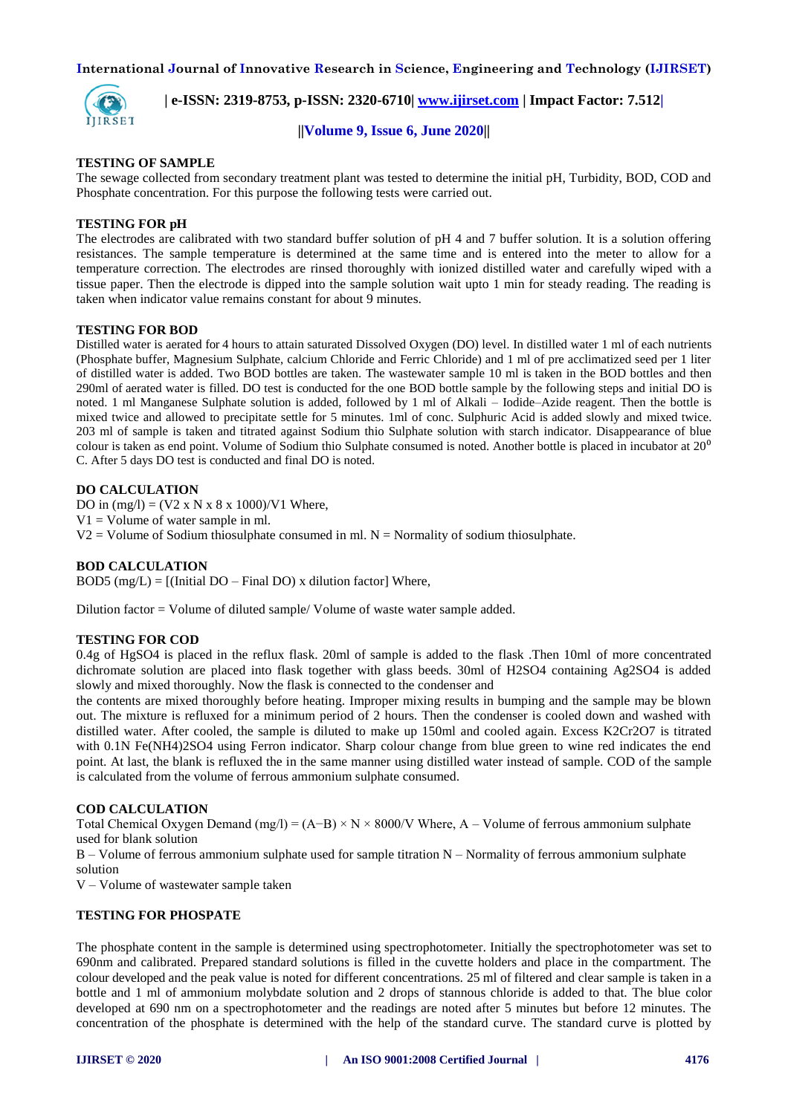

 **| e-ISSN: 2319-8753, p-ISSN: 2320-6710| [www.ijirset.com](http://www.ijirset.com/) | Impact Factor: 7.512|**

#### **||Volume 9, Issue 6, June 2020||**

#### **TESTING OF SAMPLE**

The sewage collected from secondary treatment plant was tested to determine the initial pH, Turbidity, BOD, COD and Phosphate concentration. For this purpose the following tests were carried out.

#### **TESTING FOR pH**

The electrodes are calibrated with two standard buffer solution of pH 4 and 7 buffer solution. It is a solution offering resistances. The sample temperature is determined at the same time and is entered into the meter to allow for a temperature correction. The electrodes are rinsed thoroughly with ionized distilled water and carefully wiped with a tissue paper. Then the electrode is dipped into the sample solution wait upto 1 min for steady reading. The reading is taken when indicator value remains constant for about 9 minutes.

#### **TESTING FOR BOD**

Distilled water is aerated for 4 hours to attain saturated Dissolved Oxygen (DO) level. In distilled water 1 ml of each nutrients (Phosphate buffer, Magnesium Sulphate, calcium Chloride and Ferric Chloride) and 1 ml of pre acclimatized seed per 1 liter of distilled water is added. Two BOD bottles are taken. The wastewater sample 10 ml is taken in the BOD bottles and then 290ml of aerated water is filled. DO test is conducted for the one BOD bottle sample by the following steps and initial DO is noted. 1 ml Manganese Sulphate solution is added, followed by 1 ml of Alkali – Iodide–Azide reagent. Then the bottle is mixed twice and allowed to precipitate settle for 5 minutes. 1ml of conc. Sulphuric Acid is added slowly and mixed twice. 203 ml of sample is taken and titrated against Sodium thio Sulphate solution with starch indicator. Disappearance of blue colour is taken as end point. Volume of Sodium thio Sulphate consumed is noted. Another bottle is placed in incubator at  $20^{\circ}$ C. After 5 days DO test is conducted and final DO is noted.

#### **DO CALCULATION**

DO in  $(mg/l) = (V2 \times N \times 8 \times 1000)/V1$  Where,  $V1 = Volume of water sample in ml.$  $V2 =$  Volume of Sodium thiosulphate consumed in ml.  $N =$  Normality of sodium thiosulphate.

## **BOD CALCULATION**

BOD5 (mg/L) =  $[(Initial DO - Final DO) \times dilution factor]$  Where,

Dilution factor = Volume of diluted sample/ Volume of waste water sample added.

#### **TESTING FOR COD**

0.4g of HgSO4 is placed in the reflux flask. 20ml of sample is added to the flask .Then 10ml of more concentrated dichromate solution are placed into flask together with glass beeds. 30ml of H2SO4 containing Ag2SO4 is added slowly and mixed thoroughly. Now the flask is connected to the condenser and

the contents are mixed thoroughly before heating. Improper mixing results in bumping and the sample may be blown out. The mixture is refluxed for a minimum period of 2 hours. Then the condenser is cooled down and washed with distilled water. After cooled, the sample is diluted to make up 150ml and cooled again. Excess K2Cr2O7 is titrated with 0.1N Fe(NH4)2SO4 using Ferron indicator. Sharp colour change from blue green to wine red indicates the end point. At last, the blank is refluxed the in the same manner using distilled water instead of sample. COD of the sample is calculated from the volume of ferrous ammonium sulphate consumed.

#### **COD CALCULATION**

Total Chemical Oxygen Demand (mg/l) =  $(A-B) \times N \times 8000/V$  Where, A – Volume of ferrous ammonium sulphate used for blank solution

B – Volume of ferrous ammonium sulphate used for sample titration N – Normality of ferrous ammonium sulphate solution

V – Volume of wastewater sample taken

#### **TESTING FOR PHOSPATE**

The phosphate content in the sample is determined using spectrophotometer. Initially the spectrophotometer was set to 690nm and calibrated. Prepared standard solutions is filled in the cuvette holders and place in the compartment. The colour developed and the peak value is noted for different concentrations. 25 ml of filtered and clear sample is taken in a bottle and 1 ml of ammonium molybdate solution and 2 drops of stannous chloride is added to that. The blue color developed at 690 nm on a spectrophotometer and the readings are noted after 5 minutes but before 12 minutes. The concentration of the phosphate is determined with the help of the standard curve. The standard curve is plotted by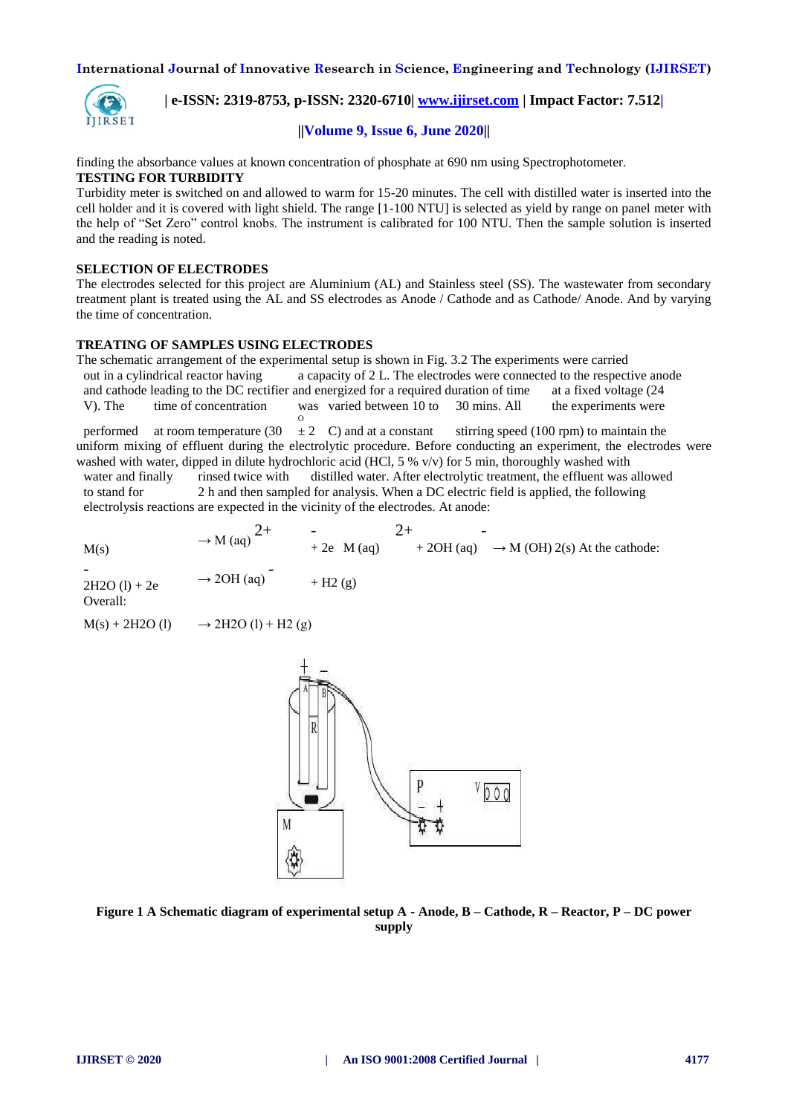

 **| e-ISSN: 2319-8753, p-ISSN: 2320-6710| [www.ijirset.com](http://www.ijirset.com/) | Impact Factor: 7.512|**

## **||Volume 9, Issue 6, June 2020||**

finding the absorbance values at known concentration of phosphate at 690 nm using Spectrophotometer.

# **TESTING FOR TURBIDITY**

Turbidity meter is switched on and allowed to warm for 15-20 minutes. The cell with distilled water is inserted into the cell holder and it is covered with light shield. The range [1-100 NTU] is selected as yield by range on panel meter with the help of "Set Zero" control knobs. The instrument is calibrated for 100 NTU. Then the sample solution is inserted and the reading is noted.

## **SELECTION OF ELECTRODES**

The electrodes selected for this project are Aluminium (AL) and Stainless steel (SS). The wastewater from secondary treatment plant is treated using the AL and SS electrodes as Anode / Cathode and as Cathode/ Anode. And by varying the time of concentration.

## **TREATING OF SAMPLES USING ELECTRODES**

The schematic arrangement of the experimental setup is shown in Fig. 3.2 The experiments were carried out in a cylindrical reactor having a capacity of 2 L. The electrodes were connected to the respective anode and cathode leading to the DC rectifier and energized for a required duration of time at a fixed voltage (24 V). The time of concentration was varied between 10 to 30 mins. All the experiments were

 $\frac{0}{2}$  C) and at a constant performed at room temperature (30  $\pm$  2 C) and at a constant stirring speed (100 rpm) to maintain the uniform mixing of effluent during the electrolytic procedure. Before conducting an experiment, the electrodes were washed with water, dipped in dilute hydrochloric acid (HCl, 5 % v/v) for 5 min, thoroughly washed with

water and finally rinsed twice with distilled water. After electrolytic treatment, the effluent was allowed to stand for 2 h and then sampled for analysis. When a DC electric field is applied, the following 2 h and then sampled for analysis. When a DC electric field is applied, the following electrolysis reactions are expected in the vicinity of the electrodes. At anode:

 $M(s) \rightarrow M (aq) \begin{cases} 2+ & - \\ & + 2e \cdot M (aq) \end{cases}$  $+ 2OH (aq) \rightarrow M (OH) 2(s) At the cathode:$ -  $2H2O(l) + 2e$   $\rightarrow$  2OH (aq)  $+$  H<sub>2</sub> (g) Overall:  $M(s) + 2H2O (l) \rightarrow 2H2O (l) + H2 (g)$ 



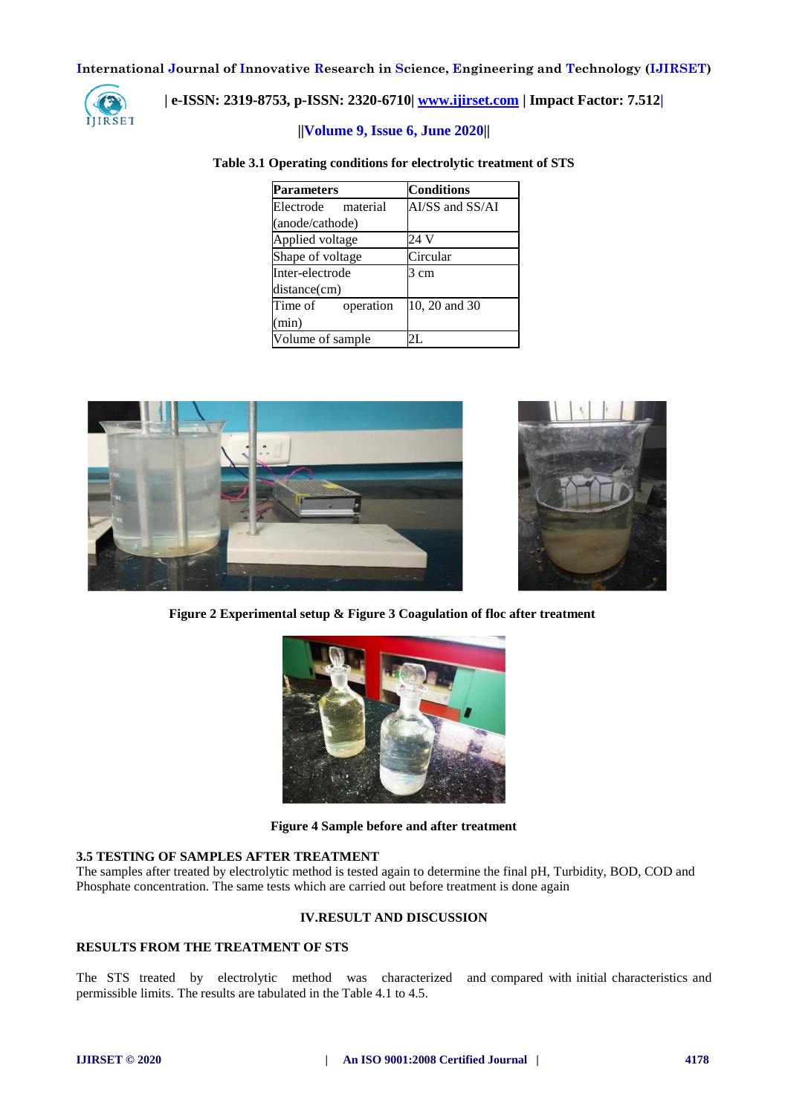

# **| e-ISSN: 2319-8753, p-ISSN: 2320-6710| [www.ijirset.com](http://www.ijirset.com/) | Impact Factor: 7.512|**

# **||Volume 9, Issue 6, June 2020||**

#### **Table 3.1 Operating conditions for electrolytic treatment of STS**

| <b>Parameters</b>    | <b>Conditions</b> |  |  |
|----------------------|-------------------|--|--|
| Electrode material   | AI/SS and SS/AI   |  |  |
| (anode/cathode)      |                   |  |  |
| Applied voltage      | 24 V              |  |  |
| Shape of voltage     | Circular          |  |  |
| Inter-electrode      | 3 cm              |  |  |
| distance(cm)         |                   |  |  |
| Time of<br>operation | 10, 20 and 30     |  |  |
| (min)                |                   |  |  |
| Volume of sample     |                   |  |  |







**Figure 4 Sample before and after treatment**

#### **3.5 TESTING OF SAMPLES AFTER TREATMENT**

The samples after treated by electrolytic method is tested again to determine the final pH, Turbidity, BOD, COD and Phosphate concentration. The same tests which are carried out before treatment is done again

#### **IV.RESULT AND DISCUSSION**

# **RESULTS FROM THE TREATMENT OF STS**

The STS treated by electrolytic method was characterized and compared with initial characteristics and permissible limits. The results are tabulated in the Table 4.1 to 4.5.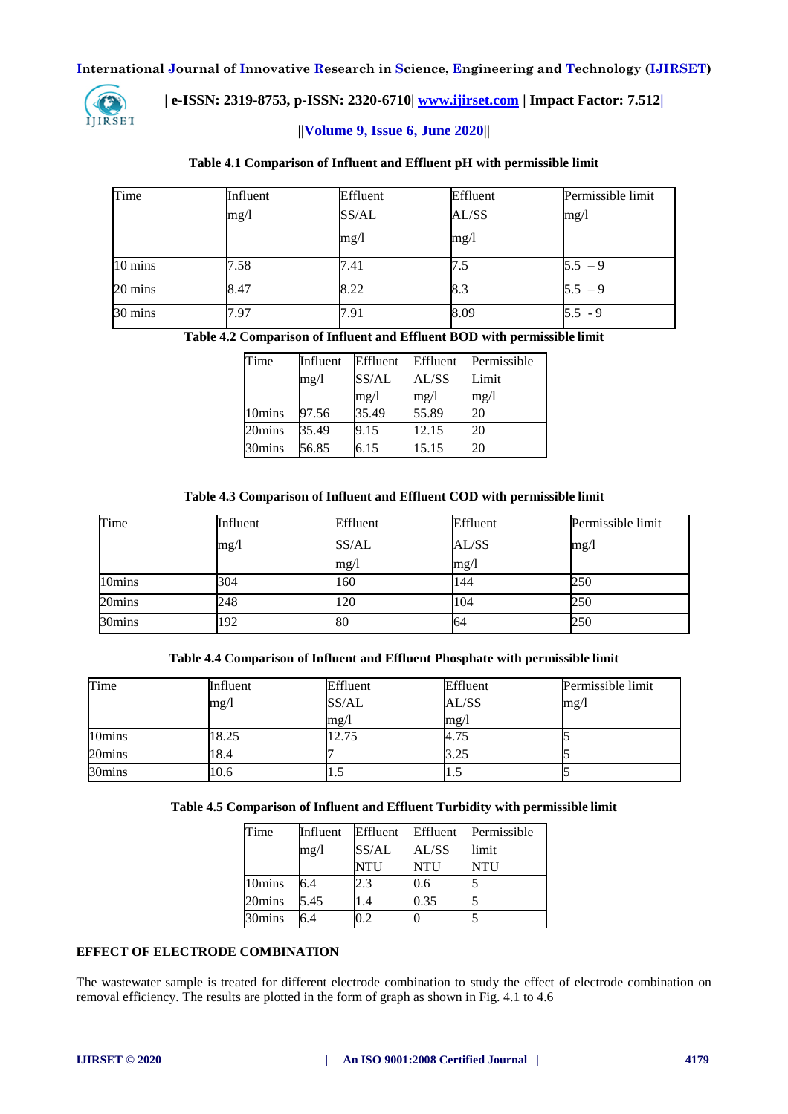

 **| e-ISSN: 2319-8753, p-ISSN: 2320-6710| [www.ijirset.com](http://www.ijirset.com/) | Impact Factor: 7.512|**

# **||Volume 9, Issue 6, June 2020||**

## **Table 4.1 Comparison of Influent and Effluent pH with permissible limit**

| Time    | Influent | Effluent | Effluent | Permissible limit |
|---------|----------|----------|----------|-------------------|
|         | mg/1     | SS/AL    | AL/SS    | mg/1              |
|         |          | mg/l     | mg/l     |                   |
| 10 mins | 7.58     | 7.41     | 7.5      | $5.5 - 9$         |
| 20 mins | 8.47     | 8.22     | 8.3      | $5.5 - 9$         |
| 30 mins | 7.97     | 7.91     | 8.09     | $5.5 - 9$         |

#### **Table 4.2 Comparison of Influent and Effluent BOD with permissible limit**

| Time   | Influent | Effluent | Effluent | Permissible |
|--------|----------|----------|----------|-------------|
|        | mg/l     | SS/AL    | AL/SS    | Limit       |
|        |          | mg/l     | mg/1     | mg/l        |
| 10mins | 97.56    | 35.49    | 55.89    | 20          |
| 20mins | 35.49    | 9.15     | 12.15    | 20          |
| 30mins | 56.85    | 6.15     | 15.15    | 20          |

## **Table 4.3 Comparison of Influent and Effluent COD with permissible limit**

| Time   | Influent | Effluent | Effluent | Permissible limit |
|--------|----------|----------|----------|-------------------|
|        | mg/l     | SS/AL    | AL/SS    | mg/l              |
|        |          | mg/1     | mg/1     |                   |
| 10mins | 304      | 160      | 144      | 250               |
| 20mins | 248      | 120      | 104      | 250               |
| 30mins | 192      | 80       | 64       | 250               |

# **Table 4.4 Comparison of Influent and Effluent Phosphate with permissible limit**

| Time   | Influent | Effluent | Effluent | Permissible limit |
|--------|----------|----------|----------|-------------------|
|        | mg/1     | SS/AL    | AL/SS    | $\rm mg/$         |
|        |          | mg/1     | mg/1     |                   |
| 10mins | 18.25    | 12.75    | 4.75     |                   |
| 20mins | 18.4     |          | 3.25     |                   |
| 30mins | 10.6     |          | 1.5      |                   |

# **Table 4.5 Comparison of Influent and Effluent Turbidity with permissible limit**

| Time   | Influent | Effluent       | Effluent   | Permissible |
|--------|----------|----------------|------------|-------------|
|        | mg/l     | SS/AL          | AL/SS      | limit       |
|        |          | <b>NTU</b>     | <b>NTU</b> | <b>NTU</b>  |
| 10mins | 6.4      | 2.3            | 0.6        |             |
| 20mins | 5.45     | .4             | 0.35       |             |
| 30mins | 6.4      | $\overline{2}$ |            |             |

#### **EFFECT OF ELECTRODE COMBINATION**

The wastewater sample is treated for different electrode combination to study the effect of electrode combination on removal efficiency. The results are plotted in the form of graph as shown in Fig. 4.1 to 4.6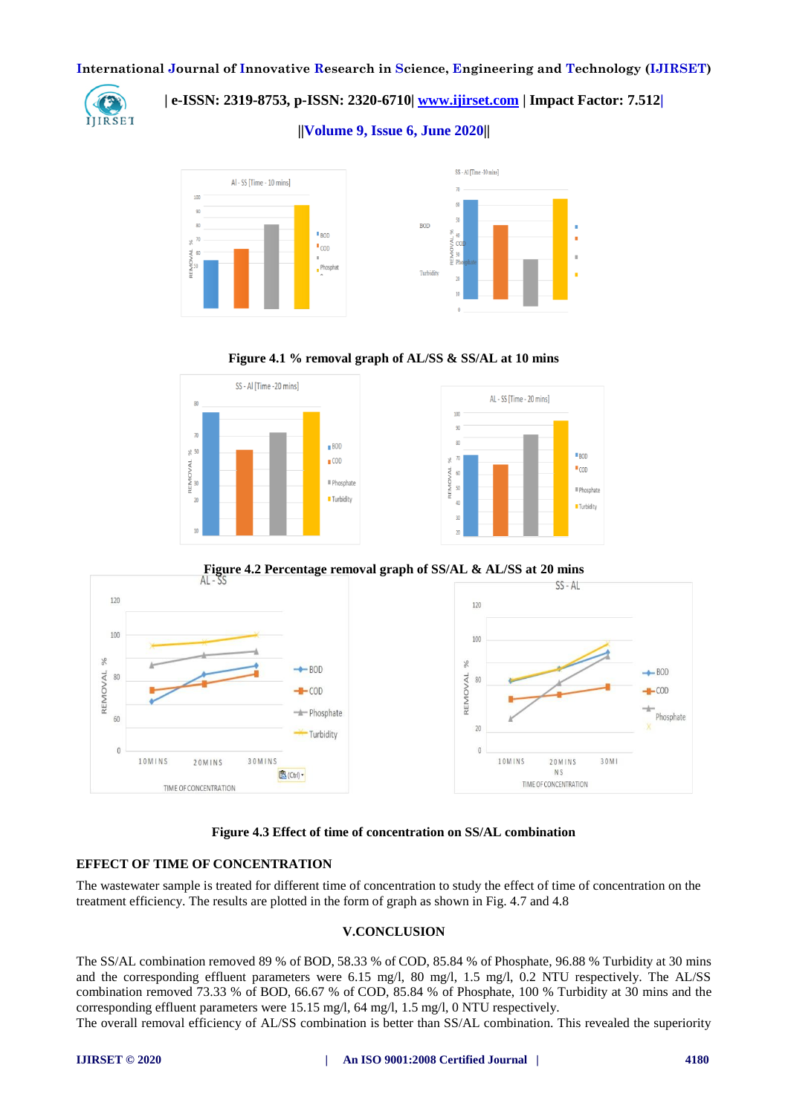

# **| e-ISSN: 2319-8753, p-ISSN: 2320-6710| [www.ijirset.com](http://www.ijirset.com/) | Impact Factor: 7.512|**

**||Volume 9, Issue 6, June 2020||** 







**Figure 4.2 Percentage removal graph of SS/AL & AL/SS at 20 mins**



**Figure 4.3 Effect of time of concentration on SS/AL combination**

# **EFFECT OF TIME OF CONCENTRATION**

The wastewater sample is treated for different time of concentration to study the effect of time of concentration on the treatment efficiency. The results are plotted in the form of graph as shown in Fig. 4.7 and 4.8

# **V.CONCLUSION**

The SS/AL combination removed 89 % of BOD, 58.33 % of COD, 85.84 % of Phosphate, 96.88 % Turbidity at 30 mins and the corresponding effluent parameters were 6.15 mg/l, 80 mg/l, 1.5 mg/l, 0.2 NTU respectively. The AL/SS combination removed 73.33 % of BOD, 66.67 % of COD, 85.84 % of Phosphate, 100 % Turbidity at 30 mins and the corresponding effluent parameters were 15.15 mg/l, 64 mg/l, 1.5 mg/l, 0 NTU respectively.

The overall removal efficiency of AL/SS combination is better than SS/AL combination. This revealed the superiority